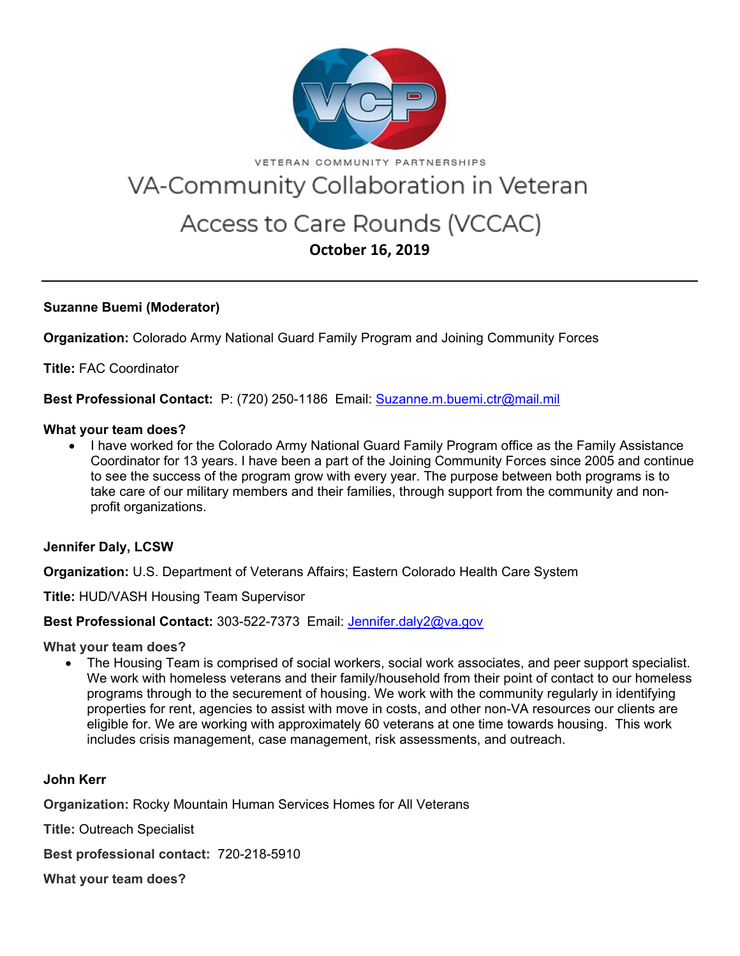

VETERAN COMMUNITY PARTNERSHIPS

# VA-Community Collaboration in Veteran

# Access to Care Rounds (VCCAC) **October 16, 2019**

## **Suzanne Buemi (Moderator)**

**Organization:** Colorado Army National Guard Family Program and Joining Community Forces

**Title:** FAC Coordinator

**Best Professional Contact:** P: (720) 250-1186 Email: [Suzanne.m.buemi.ctr@mail.mil](mailto:Suzanne.m.buemi.ctr@mail.mil)

#### **What your team does?**

• I have worked for the Colorado Army National Guard Family Program office as the Family Assistance Coordinator for 13 years. I have been a part of the Joining Community Forces since 2005 and continue to see the success of the program grow with every year. The purpose between both programs is to take care of our military members and their families, through support from the community and nonprofit organizations.

## **Jennifer Daly, LCSW**

**Organization:** U.S. Department of Veterans Affairs; Eastern Colorado Health Care System

**Title:** HUD/VASH Housing Team Supervisor

## **Best Professional Contact:** 303-522-7373 Email: [Jennifer.daly2@va.gov](mailto:Jennifer.daly2@va.gov)

**What your team does?**

• The Housing Team is comprised of social workers, social work associates, and peer support specialist. We work with homeless veterans and their family/household from their point of contact to our homeless programs through to the securement of housing. We work with the community regularly in identifying properties for rent, agencies to assist with move in costs, and other non-VA resources our clients are eligible for. We are working with approximately 60 veterans at one time towards housing. This work includes crisis management, case management, risk assessments, and outreach.

## **John Kerr**

**Organization:** Rocky Mountain Human Services Homes for All Veterans

**Title:** Outreach Specialist

**Best professional contact:** 720-218-5910

**What your team does?**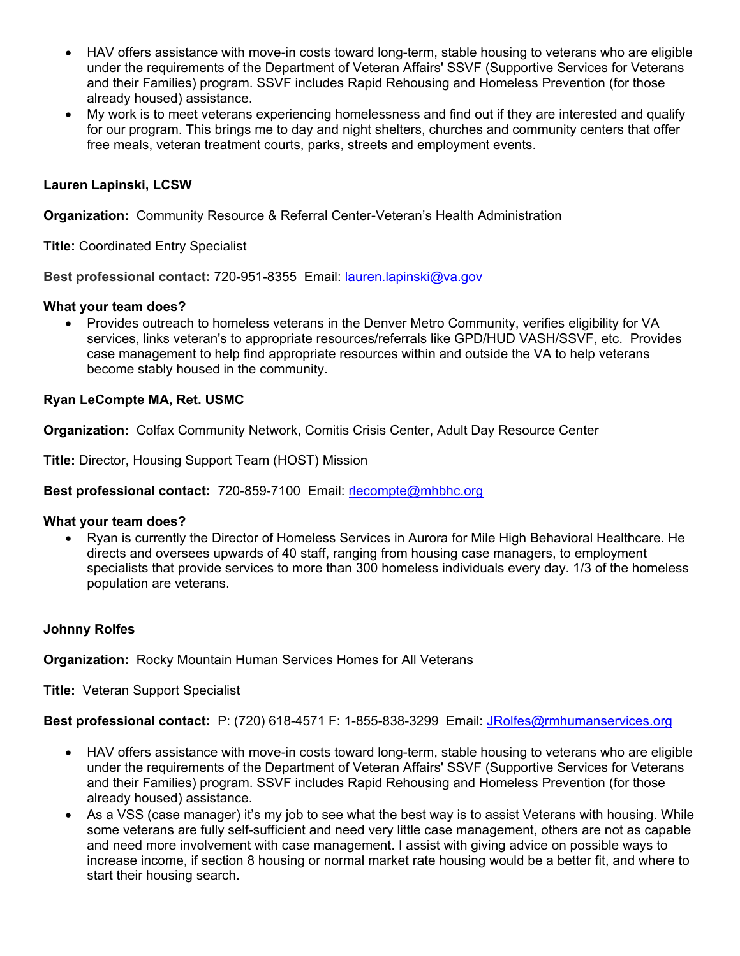- HAV offers assistance with move-in costs toward long-term, stable housing to veterans who are eligible under the requirements of the Department of Veteran Affairs' SSVF (Supportive Services for Veterans and their Families) program. SSVF includes Rapid Rehousing and Homeless Prevention (for those already housed) assistance.
- My work is to meet veterans experiencing homelessness and find out if they are interested and qualify for our program. This brings me to day and night shelters, churches and community centers that offer free meals, veteran treatment courts, parks, streets and employment events.

# **Lauren Lapinski, LCSW**

**Organization:** Community Resource & Referral Center-Veteran's Health Administration

**Title:** Coordinated Entry Specialist

**Best professional contact:** 720-951-8355 Email: [lauren.lapinski@va.gov](mailto:lauren.lapinski@va.gov)

#### **What your team does?**

• Provides outreach to homeless veterans in the Denver Metro Community, verifies eligibility for VA services, links veteran's to appropriate resources/referrals like GPD/HUD VASH/SSVF, etc. Provides case management to help find appropriate resources within and outside the VA to help veterans become stably housed in the community.

## **Ryan LeCompte MA, Ret. USMC**

**Organization:** Colfax Community Network, Comitis Crisis Center, Adult Day Resource Center

**Title:** Director, Housing Support Team (HOST) Mission

**Best professional contact:** 720-859-7100 Email: [rlecompte@mhbhc.org](mailto:rlecompte@mhbhc.org)

#### **What your team does?**

• Ryan is currently the Director of Homeless Services in Aurora for Mile High Behavioral Healthcare. He directs and oversees upwards of 40 staff, ranging from housing case managers, to employment specialists that provide services to more than 300 homeless individuals every day. 1/3 of the homeless population are veterans.

#### **Johnny Rolfes**

**Organization:** Rocky Mountain Human Services Homes for All Veterans

**Title:** Veteran Support Specialist

Best professional contact: P: (720) 618-4571 F: 1-855-838-3299 Email: [JRolfes@rmhumanservices.org](mailto:JRolfes@rmhumanservices.org)

- HAV offers assistance with move-in costs toward long-term, stable housing to veterans who are eligible under the requirements of the Department of Veteran Affairs' SSVF (Supportive Services for Veterans and their Families) program. SSVF includes Rapid Rehousing and Homeless Prevention (for those already housed) assistance.
- As a VSS (case manager) it's my job to see what the best way is to assist Veterans with housing. While some veterans are fully self-sufficient and need very little case management, others are not as capable and need more involvement with case management. I assist with giving advice on possible ways to increase income, if section 8 housing or normal market rate housing would be a better fit, and where to start their housing search.